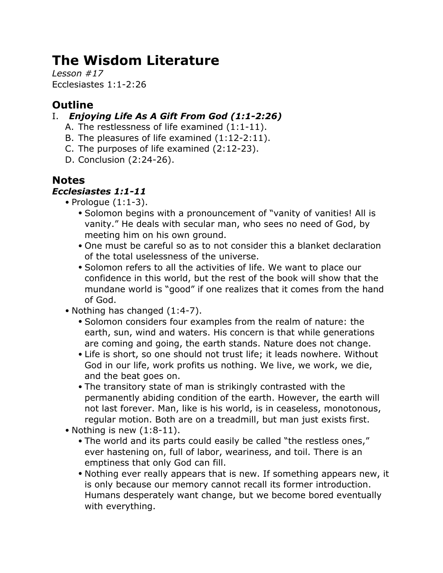# **The Wisdom Literature**

*Lesson #17* Ecclesiastes 1:1-2:26

# **Outline**

## I. *Enjoying Life As A Gift From God (1:1-2:26)*

- A. The restlessness of life examined (1:1-11).
- B. The pleasures of life examined (1:12-2:11).
- C. The purposes of life examined (2:12-23).
- D. Conclusion (2:24-26).

# **Notes**

## *Ecclesiastes 1:1-11*

- Prologue (1:1-3).
	- Solomon begins with a pronouncement of "vanity of vanities! All is vanity." He deals with secular man, who sees no need of God, by meeting him on his own ground.
	- One must be careful so as to not consider this a blanket declaration of the total uselessness of the universe.
	- Solomon refers to all the activities of life. We want to place our confidence in this world, but the rest of the book will show that the mundane world is "good" if one realizes that it comes from the hand of God.
- Nothing has changed (1:4-7).
	- Solomon considers four examples from the realm of nature: the earth, sun, wind and waters. His concern is that while generations are coming and going, the earth stands. Nature does not change.
	- Life is short, so one should not trust life; it leads nowhere. Without God in our life, work profits us nothing. We live, we work, we die, and the beat goes on.
	- The transitory state of man is strikingly contrasted with the permanently abiding condition of the earth. However, the earth will not last forever. Man, like is his world, is in ceaseless, monotonous, regular motion. Both are on a treadmill, but man just exists first.
- Nothing is new  $(1:8-11)$ .
	- The world and its parts could easily be called "the restless ones," ever hastening on, full of labor, weariness, and toil. There is an emptiness that only God can fill.
	- Nothing ever really appears that is new. If something appears new, it is only because our memory cannot recall its former introduction. Humans desperately want change, but we become bored eventually with everything.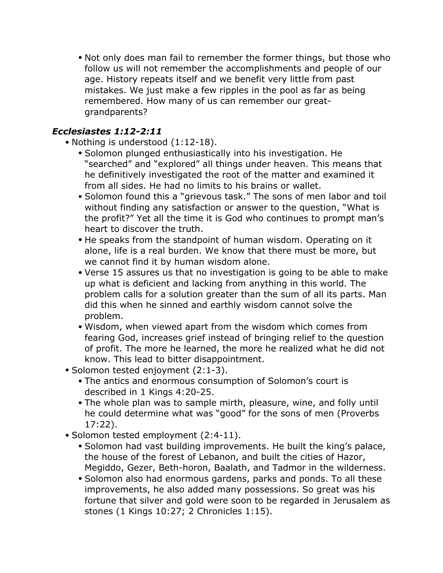• Not only does man fail to remember the former things, but those who follow us will not remember the accomplishments and people of our age. History repeats itself and we benefit very little from past mistakes. We just make a few ripples in the pool as far as being remembered. How many of us can remember our greatgrandparents?

#### *Ecclesiastes 1:12-2:11*

- Nothing is understood (1:12-18).
	- Solomon plunged enthusiastically into his investigation. He "searched" and "explored" all things under heaven. This means that he definitively investigated the root of the matter and examined it from all sides. He had no limits to his brains or wallet.
	- Solomon found this a "grievous task." The sons of men labor and toil without finding any satisfaction or answer to the question, "What is the profit?" Yet all the time it is God who continues to prompt man's heart to discover the truth.
	- He speaks from the standpoint of human wisdom. Operating on it alone, life is a real burden. We know that there must be more, but we cannot find it by human wisdom alone.
	- Verse 15 assures us that no investigation is going to be able to make up what is deficient and lacking from anything in this world. The problem calls for a solution greater than the sum of all its parts. Man did this when he sinned and earthly wisdom cannot solve the problem.
	- Wisdom, when viewed apart from the wisdom which comes from fearing God, increases grief instead of bringing relief to the question of profit. The more he learned, the more he realized what he did not know. This lead to bitter disappointment.
- Solomon tested enjoyment (2:1-3).
	- The antics and enormous consumption of Solomon's court is described in 1 Kings 4:20-25.
	- The whole plan was to sample mirth, pleasure, wine, and folly until he could determine what was "good" for the sons of men (Proverbs 17:22).
- Solomon tested employment (2:4-11).
	- Solomon had vast building improvements. He built the king's palace, the house of the forest of Lebanon, and built the cities of Hazor, Megiddo, Gezer, Beth-horon, Baalath, and Tadmor in the wilderness.
	- Solomon also had enormous gardens, parks and ponds. To all these improvements, he also added many possessions. So great was his fortune that silver and gold were soon to be regarded in Jerusalem as stones (1 Kings 10:27; 2 Chronicles 1:15).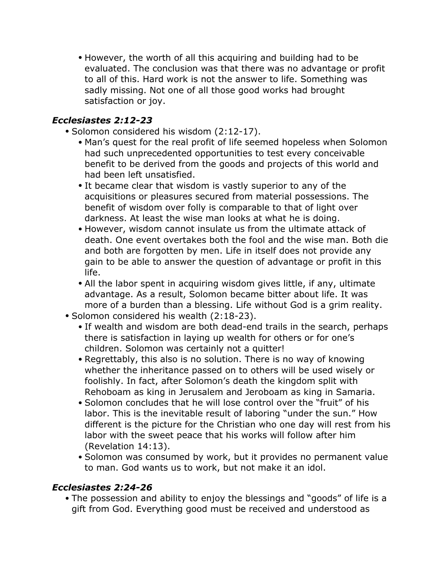• However, the worth of all this acquiring and building had to be evaluated. The conclusion was that there was no advantage or profit to all of this. Hard work is not the answer to life. Something was sadly missing. Not one of all those good works had brought satisfaction or joy.

### *Ecclesiastes 2:12-23*

- Solomon considered his wisdom (2:12-17).
	- Man's quest for the real profit of life seemed hopeless when Solomon had such unprecedented opportunities to test every conceivable benefit to be derived from the goods and projects of this world and had been left unsatisfied.
	- It became clear that wisdom is vastly superior to any of the acquisitions or pleasures secured from material possessions. The benefit of wisdom over folly is comparable to that of light over darkness. At least the wise man looks at what he is doing.
	- However, wisdom cannot insulate us from the ultimate attack of death. One event overtakes both the fool and the wise man. Both die and both are forgotten by men. Life in itself does not provide any gain to be able to answer the question of advantage or profit in this life.
	- All the labor spent in acquiring wisdom gives little, if any, ultimate advantage. As a result, Solomon became bitter about life. It was more of a burden than a blessing. Life without God is a grim reality.
- Solomon considered his wealth (2:18-23).
	- If wealth and wisdom are both dead-end trails in the search, perhaps there is satisfaction in laying up wealth for others or for one's children. Solomon was certainly not a quitter!
	- Regrettably, this also is no solution. There is no way of knowing whether the inheritance passed on to others will be used wisely or foolishly. In fact, after Solomon's death the kingdom split with Rehoboam as king in Jerusalem and Jeroboam as king in Samaria.
	- Solomon concludes that he will lose control over the "fruit" of his labor. This is the inevitable result of laboring "under the sun." How different is the picture for the Christian who one day will rest from his labor with the sweet peace that his works will follow after him (Revelation 14:13).
	- Solomon was consumed by work, but it provides no permanent value to man. God wants us to work, but not make it an idol.

#### *Ecclesiastes 2:24-26*

• The possession and ability to enjoy the blessings and "goods" of life is a gift from God. Everything good must be received and understood as